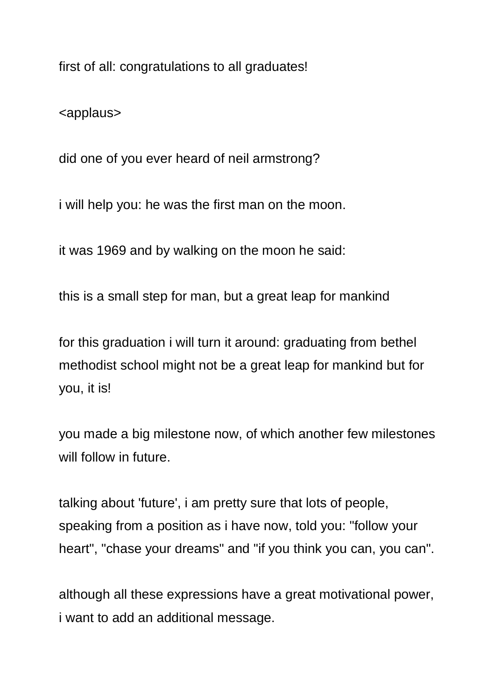first of all: congratulations to all graduates!

<applaus>

did one of you ever heard of neil armstrong?

i will help you: he was the first man on the moon.

it was 1969 and by walking on the moon he said:

this is a small step for man, but a great leap for mankind

for this graduation i will turn it around: graduating from bethel methodist school might not be a great leap for mankind but for you, it is!

you made a big milestone now, of which another few milestones will follow in future.

talking about 'future', i am pretty sure that lots of people, speaking from a position as i have now, told you: "follow your heart", "chase your dreams" and "if you think you can, you can".

although all these expressions have a great motivational power, i want to add an additional message.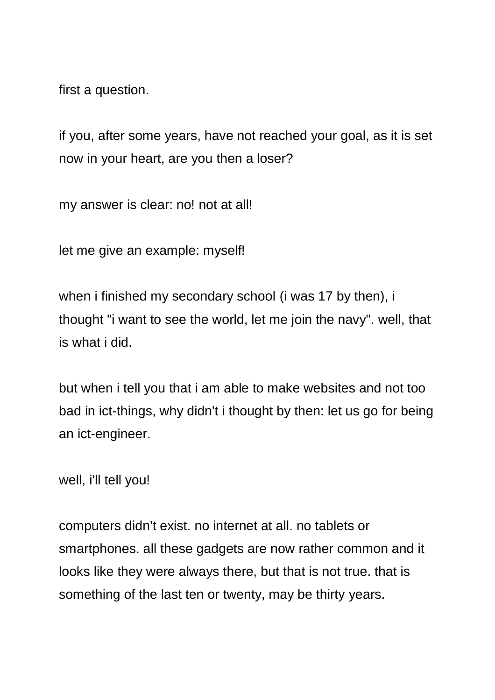first a question.

if you, after some years, have not reached your goal, as it is set now in your heart, are you then a loser?

my answer is clear: no! not at all!

let me give an example: myself!

when i finished my secondary school (i was 17 by then), i thought "i want to see the world, let me join the navy". well, that is what i did.

but when i tell you that i am able to make websites and not too bad in ict-things, why didn't i thought by then: let us go for being an ict-engineer.

well, i'll tell you!

computers didn't exist. no internet at all. no tablets or smartphones. all these gadgets are now rather common and it looks like they were always there, but that is not true. that is something of the last ten or twenty, may be thirty years.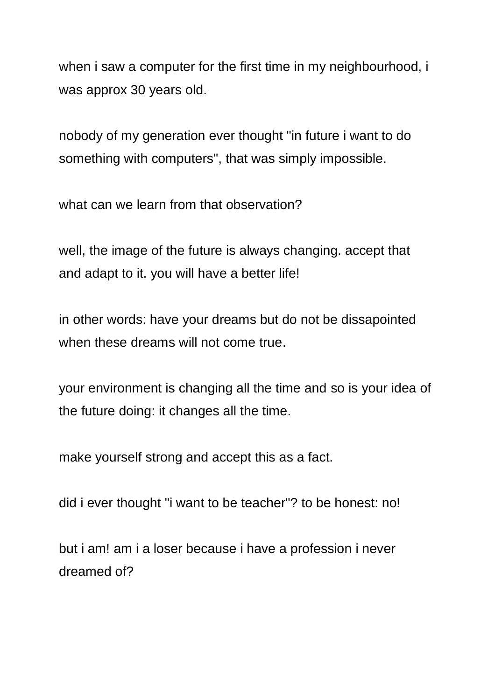when i saw a computer for the first time in my neighbourhood, i was approx 30 years old.

nobody of my generation ever thought "in future i want to do something with computers", that was simply impossible.

what can we learn from that observation?

well, the image of the future is always changing. accept that and adapt to it. you will have a better life!

in other words: have your dreams but do not be dissapointed when these dreams will not come true.

your environment is changing all the time and so is your idea of the future doing: it changes all the time.

make yourself strong and accept this as a fact.

did i ever thought "i want to be teacher"? to be honest: no!

but i am! am i a loser because i have a profession i never dreamed of?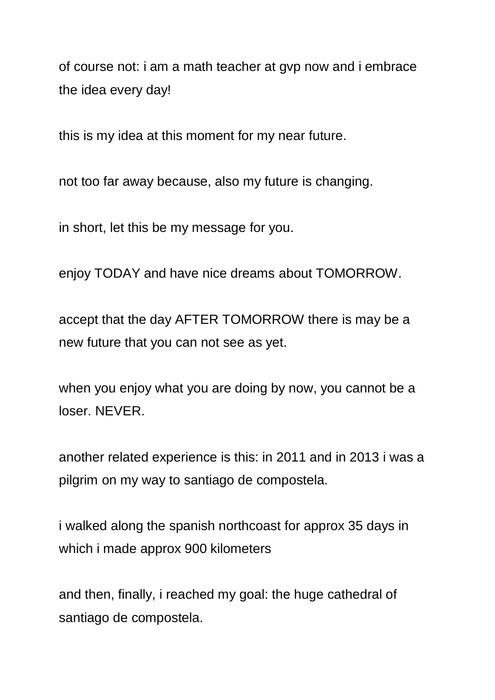of course not: i am a math teacher at gvp now and i embrace the idea every day!

this is my idea at this moment for my near future.

not too far away because, also my future is changing.

in short, let this be my message for you.

enjoy TODAY and have nice dreams about TOMORROW.

accept that the day AFTER TOMORROW there is may be a new future that you can not see as yet.

when you enjoy what you are doing by now, you cannot be a loser. NEVER.

another related experience is this: in 2011 and in 2013 i was a pilgrim on my way to santiago de compostela.

i walked along the spanish northcoast for approx 35 days in which i made approx 900 kilometers

and then, finally, i reached my goal: the huge cathedral of santiago de compostela.